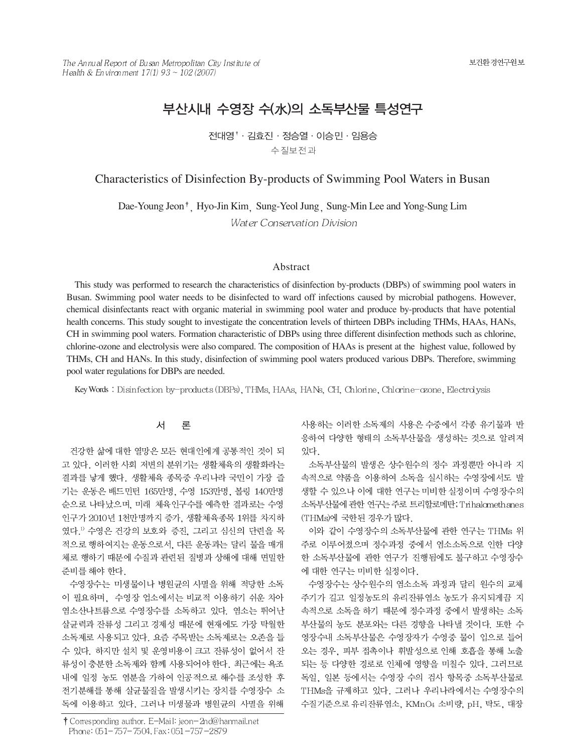The Annual Report of Busan Metropolitan City Institute of Health & Environment  $17(1)$  93 ~ 102 (2007)

# 부산시내 수영장 쉬(水)의 소독부산물 특성연구

전대영 \* · 김효진 · 정승열 · 이승민 · 임용승 수질보전과

Characteristics of Disinfection By-products of Swimming Pool Waters in Busan

Dae-Young Jeon<sup>†</sup>, Hyo-Jin Kim, Sung-Yeol Jung, Sung-Min Lee and Yong-Sung Lim

Water Conservation Division

# Abstract

This study was performed to research the characteristics of disinfection by-products (DBPs) of swimming pool waters in Busan. Swimming pool water needs to be disinfected to ward off infections caused by microbial pathogens. However, chemical disinfectants react with organic material in swimming pool water and produce by-products that have potential health concerns. This study sought to investigate the concentration levels of thirteen DBPs including THMs, HAAs, HANs, CH in swimming pool waters. Formation characteristic of DBPs using three different disinfection methods such as chlorine, chlorine-ozone and electrolysis were also compared. The composition of HAAs is present at the highest value, followed by THMs, CH and HANs. In this study, disinfection of swimming pool waters produced various DBPs. Therefore, swimming pool water regulations for DBPs are needed.

Key Words : Disinfection by-products (DBPs), THMs, HAAs, HANs, CH, Chlorine, Chlorine-ozone, Electrolysis

#### 서 론

건강한 삶에 대한 열망은 모든 현대인에게 공통적인 것이 되 고 있다. 이러한 사회 저변의 분위기는 생활체육의 생활화라는 결과를 낳게 했다. 생활체육 종목중 우리나라 국민이 가장 즐 기는 운동은 배드민턴 165만명, 수영 153만명, 볼링 140만명 순으로 나타났으며, 미래 체육인구수를 예측한 결과로는 수영 인구가 2010년 1천만명까지 증가, 생활체육종목 1위를 차지하 였다. <sup>0</sup> 수영은 건강의 보호와 증진, 그리고 심신의 단련을 목 적으로 행하여지는 운동으로서, 다른 운동과는 달리 물을 매개 체로 행하기 때문에 수질과 관련된 질병과 상해에 대해 면밀한 준비를 해야 한다.

수영장수는 미생물이나 병원균의 사멸을 위해 적당한 소독 이 필요하며, 수영장 업소에서는 비교적 이용하기 쉬운 차아 염소산나트륨으로 수영장수를 소독하고 있다. 염소는 뛰어난 살균력과 잔류성 그리고 경제성 때문에 현재에도 가장 탁월한 소독제로 사용되고 있다. 요즘 주목받는 소독제로는 오존을 들 수 있다. 하지만 설치 및 운영비용이 크고 잔류성이 없어서 잔 류성이 충분한 소독제와 함께 사용되어야 한다. 최근에는 욕조 내에 일정 농도 염분을 가하여 인공적으로 해수를 조성한 후 전기분해를 통해 살균물질을 발생시키는 장치를 수영장수 소 독에 이용하고 있다. 그러나 미생물과 병원균의 사멸을 위해

† Corresponding author. E-Mail: jeon-2nd@hanmail.net Phone: 051-757-7504, Fax: 051-757-2879

사용하는 이러한 소독제의 사용은 수중에서 각종 유기물과 반 응하여 다양한 형태의 소독부산물을 생성하는 것으로 알려져 있다.

소독부산물의 발생은 상수원수의 정수 과정뿐만 아니라 지 속적으로 약품을 이용하여 소독을 실시하는 수영장에서도 발 생할 수 있으나 이에 대한 연구는 미비한 실정이며 수영장수의 소독부산물에 관한 연구는 주로 트리할로메탄; Trihalomethanes (THMs)에 국한된 경우가 많다.

이와 같이 수영장수의 소독부산물에 관한 연구는 THMs 위 주로 이루어졌으며 정수과정 중에서 염소소독으로 인한 다양 한 소독부산물에 관한 연구가 진행됨에도 불구하고 수영장수 에 대한 연구는 미비한 실정이다.

수영장수는 상수원수의 염소소독 과정과 달리 원수의 교체 주기가 길고 일정농도의 유리잔류염소 농도가 유지되게끔 지 속적으로 소독을 하기 때문에 정수과정 중에서 발생하는 소독 부산물의 농도 분포와는 다른 경향을 나타낼 것이다. 또한 수 영장수내 소독부산물은 수영장자가 수영중 물이 입으로 들어 오는 경우, 피부 접촉이나 휘발성으로 인해 호흡을 통해 노출 되는 등 다양한 경로로 인체에 영향을 미칠수 있다. 그러므로 독일, 일본 등에서는 수영장 수의 검사 항목중 소독부산물로 THMs을 규제하고 있다. 그러나 우리나라에서는 수영장수의 수질기준으로 유리잔류염소, KMnO4 소비량, pH, 탁도, 대장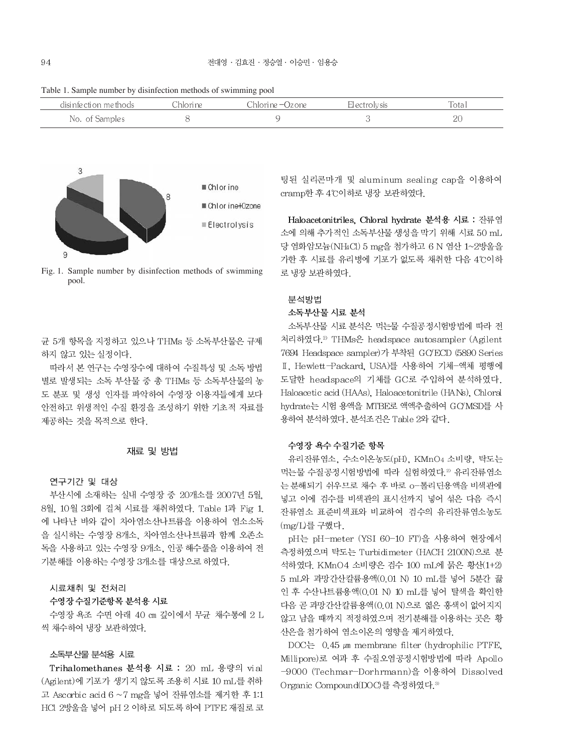Table 1. Sample number by disinfection methods of swimming pool

| disinfection methods | :hIori ne | Chlorine –(<br>Jzone | d ectrolysis : | $\sim$<br>lotal |
|----------------------|-----------|----------------------|----------------|-----------------|
| No. of Samples       |           |                      |                | റ്<br>∠∪        |



Fig. 1. Sample number by disinfection methods of swimming pool.

균 5개 항목을 지정하고 있으나 THMs 등 소독부산물은 규제 하지 않고 있는 실정이다.

따라서 본 연구는 수영장수에 대하여 수질특성 및 소독 방법 별로 발생되는 소독 부산물 중 총 THMs 등 소독부산물의 농 도 분포 및 생성 인자를 파악하여 수영장 이용자들에게 보다 안전하고 위생적인 수질 환경을 조성하기 위한 기초적 자료를 제공하는 것을 목적으로 한다.

# 재료 및 방법

# 연구기간 및 대상

부산시에 소재하는 실내 수영장 중 20개소를 2007년 5월. 8월, 10월 3회에 걸쳐 시료를 채취하였다. Table 1과 Fig 1. 에 나타난 바와 같이 차아염소산나트륨을 이용하여 염소소독 을 실시하는 수영장 8개소, 차아염소산나트륨과 함께 오존소 독을 사용하고 있는 수영장 9개소, 인공 해수풀을 이용하여 전 기분해를 이용하는 수영장 3개소를 대상으로 하였다.

# 시료채취 및 전처리

# 수영장수질기준항목 분석용 시료

수영장 욕조 수면 아래 40 cm 깊이에서 무균 채수통에 2 L 씩 채수하여 냉장 보관하였다.

#### 소독부산물 분석용 시료

Trihalomethanes 분석용 시료 : 20 mL 용량의 vial (Agilent)에 기포가 생기지 않도록 조용히 시료 10 mL를 취하 고 Ascorbic acid 6 ~7 mg을 넣어 잔류염소를 제거한 후 1:1 HCl 2방울을 넣어 pH 2 이하로 되도록 하여 PTFE 재질로 코

팅된 실리콘마개 및 aluminum sealing cap을 이용하여 cramp한 후 4°C이하로 냉장 보관하였다.

Haloacetonitriles. Chloral hydrate 분석용 시료 : 잔류염 소에 의해 추가적인 소독부산물 생성을 막기 위해 시료 50 mL 당 염화암모늄(NH4Cl) 5 mg을 첨가하고 6 N 염산 1~2방울을 가한 후 시료를 유리병에 기포가 없도록 채취한 다음 4℃이하 로 냉장 보관하였다.

#### 분석방법

#### 소독부산물 시료 분석

소독부산물 시료 분석은 먹는물 수질공정시험방법에 따라 전 처리하였다.<sup>2)</sup> THMs은 headspace autosampler (Agilent 7694 Headspace sampler)가 부착된 GC/ECD (5890 Series Ⅱ, Hewlett-Packard, USA)를 사용하여 기체-액체 평행에 도달한 headspace의 기체를 GC로 주입하여 분석하였다. Haloacetic acid (HAAs), Haloacetonitrile (HANs), Chloral hydrate는 시험 용액을 MTBE로 액액추출하여 GC/MSD를 사 용하여 분석하였다. 분석조건은 Table 2와 같다.

# 수영장 욕수 수질기준 항목

유리잔류염소. 수소이온농도(pH). KMnO4 소비량. 탁도는 먹는물 수질공정시험방법에 따라 실험하였다.2 유리잔류염소 는 분해되기 쉬우므로 채수 후 바로 o-톨리딘용액을 비색관에 넣고 이에 검수를 비색관의 표시선까지 넣어 섞은 다음 즉시 잔류염소 표준비색표와 비교하여 검수의 유리잔류염소농도 (mg/L)를 구했다.

pH는 pH-meter (YSI 60-10 FT)을 사용하여 현장에서 측정하였으며 탁도는 Turbidimeter (HACH 2100N)으로 분 석하였다. KMnO4 소비량은 검수 100 mL에 묽은 황산(1+2) 5 mL와 과망간산칼륨용액(0.01 N) 10 mL를 넣어 5분간 끓 인 후 수산나트륨용액(0.01 N) 10 mL를 넣어 탈색을 확인한 다음 곧 과망간산칼륨용액(0.01 N)으로 엷은 홍색이 없어지지 않고 남을 때까지 적정하였으며 전기분해를 이용하는 곳은 황 산은을 첨가하여 염소이온의 영향을 제거하였다.

 $DOC \succeq 0.45$   $\mu$ m membrane filter (hydrophilic PTFE. Millipore)로 여과 후 수질오염공정시험방법에 따라 Apollo -9000 (Techmar-Dorhrmann)을 이용하여 Dissolved Organic Compound(DOC)를 측정하였다.<sup>3)</sup>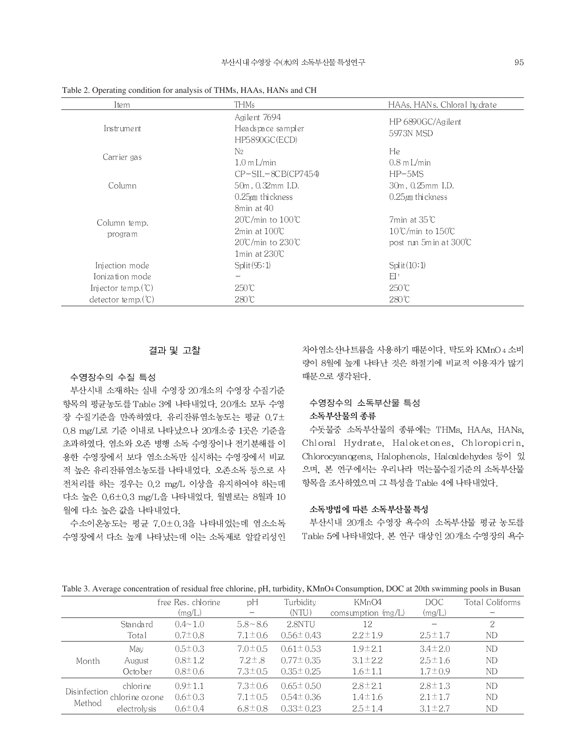| Item                          | THMs                                                                                                                                    | HAAs, HANs, Chloral hy drate                                                                           |
|-------------------------------|-----------------------------------------------------------------------------------------------------------------------------------------|--------------------------------------------------------------------------------------------------------|
| Instrument                    | Agilent 7694<br>Headspace sampler<br>HP5890GC(ECD)                                                                                      | HP 6890GC/Agilent<br>5973N MSD                                                                         |
| Carrier gas                   | $\rm N_2$<br>$1.0 \text{ m}$ L/min                                                                                                      | He<br>$0.8 \text{ m L/min}$                                                                            |
| Column                        | CP-SIL-8CB(CP7454)<br>50m, 0.32mm I.D.<br>$0.25 \mu m$ thickness                                                                        | $HP-5MS$<br>30m, 0.25mm I.D.<br>$0.25 \mu m$ thi ckness                                                |
| Column temp.<br>program       | 8min at 40<br>$20^{\circ}$ C/min to $100^{\circ}$ C<br>$2min$ at $100°C$<br>$20^{\circ}$ C/min to $230^{\circ}$ C<br>1 $min$ at 230 $C$ | $7min$ at $35^{\circ}$ C<br>$10^{\circ}$ C/min to $150^{\circ}$ C<br>post run 5m in at $300^{\circ}$ C |
| Injection mode                | Split(95:1)                                                                                                                             | Split(10:1)                                                                                            |
| Ionization mode               | $\qquad \qquad$                                                                                                                         | $EI^+$                                                                                                 |
| Injector temp. $(\mathbb{C})$ | 250℃                                                                                                                                    | 250℃                                                                                                   |
| detector temp. $(C)$          | $280^{\circ}$ C                                                                                                                         | $280^{\circ}$ C                                                                                        |

Table 2. Operating condition for analysis of THMs, HAAs, HANs and CH

# 결과 및 고찰

## 수영장수의 수질 특성

부산시내 소재하는 실내 수영장 20개소의 수영장 수질기준 항목의 평균농도를 Table 3에 나타내었다. 20개소 모두 수영 장 수질기준을 만족하였다. 유리잔류염소농도는 평균 0.7± 0.8 mg/L로 기준 이내로 나타났으나 20개소중 1곳은 기준을 초과하였다. 염소와 오존 병행 소독 수영장이나 전기분해를 이 용한 수영장에서 보다 염소소독만 실시하는 수영장에서 비교 적 높은 유리잔류염소농도를 나타내었다. 오존소독 등으로 사 전처리를 하는 경우는 0.2 mg/L 이상을 유지하여야 하는데 다소 높은 0.6±0.3 mg/L을 나타내었다. 월별로는 8월과 10 월에 다소 높은 값을 나타내었다.

수소이온농도는 평균 7.0±0.3을 나타내었는데 염소소독 수영장에서 다소 높게 나타났는데 이는 소독제로 알칼리성인 차아염소산나트륨을 사용하기 때문이다. 탁도와 KMnO4 소비 량이 8월에 높게 나타난 것은 하절기에 비교적 이용자가 많기 때문으로 생각된다.

# 수영장수의 소독부산물 특성 소독부산물의 종류

수돗물중 소독부산물의 종류에는 THMs, HAAs, HANs, Chloral Hydrate, Haloketones, Chloropicrin, Chlorocyanogens, Halophenols, Haloaldehydes 등이 있 으며, 본 연구에서는 우리나라 먹는물수질기준의 소독부산물 항목을 조사하였으며 그 특성을 Table 4에 나타내었다.

## 소독방법에 따른 소독부산물특성

부산시내 20개소 수영장 욕수의 소독부산물 평균 농도를 Table 5에 나타내었다. 본 연구 대상인 20개소 수영장의 욕수

| Table 3. Average concentration of residual free chlorine, pH, turbidity, KMnO4 Consumption, DOC at 20th swimming pools in Busan |  |  |
|---------------------------------------------------------------------------------------------------------------------------------|--|--|
|                                                                                                                                 |  |  |

|              | ັ              |                    |               |                 |                      |               | ັ               |
|--------------|----------------|--------------------|---------------|-----------------|----------------------|---------------|-----------------|
|              |                | free Res. chlorine | pH            | Turbidity       | KMnO4                | <b>DOC</b>    | Total Coliforms |
|              |                | (mg/L)             |               | (NTU)           | comsumption $(mg/L)$ | (mg/L)        |                 |
|              | Standard       | $0.4 - 1.0$        | $5.8 - 8.6$   | 2.8NTU          | 12                   |               | 2               |
|              | Total          | $0.7 \pm 0.8$      | $7.1 \pm 0.6$ | $0.56 \pm 0.43$ | $2.2 \pm 1.9$        | $2.5 \pm 1.7$ | ND              |
|              | May            | $0.5 \pm 0.3$      | $7.0 \pm 0.5$ | $0.61 \pm 0.53$ | $1.9 \pm 2.1$        | $3.4 \pm 2.0$ | ND.             |
| Month        | August         | $0.8 \pm 1.2$      | $7.2 \pm .8$  | $0.77 \pm 0.35$ | $3.1 \pm 2.2$        | $2.5 \pm 1.6$ | ND.             |
|              | October        | $0.8 \pm 0.6$      | $7.3 \pm 0.5$ | $0.35 \pm 0.25$ | $1.6 \pm 1.1$        | $1.7 \pm 0.9$ | ND.             |
|              | chlorine       | $0.9 \pm 1.1$      | $7.3 \pm 0.6$ | $0.65 \pm 0.50$ | $2.8 \pm 2.1$        | $2.8 \pm 1.3$ | ND.             |
| Disinfection | chlorine ozone | $0.6 \pm 0.3$      | $7.1 \pm 0.5$ | $0.54 \pm 0.36$ | $1.4 \pm 1.6$        | $2.1 \pm 1.7$ | ND              |
| Method       | electrolysis   | $0.6 \pm 0.4$      | $6.8 \pm 0.8$ | $0.33 \pm 0.23$ | $2.5 \pm 1.4$        | $3.1 \pm 2.7$ | ND              |
|              |                |                    |               |                 |                      |               |                 |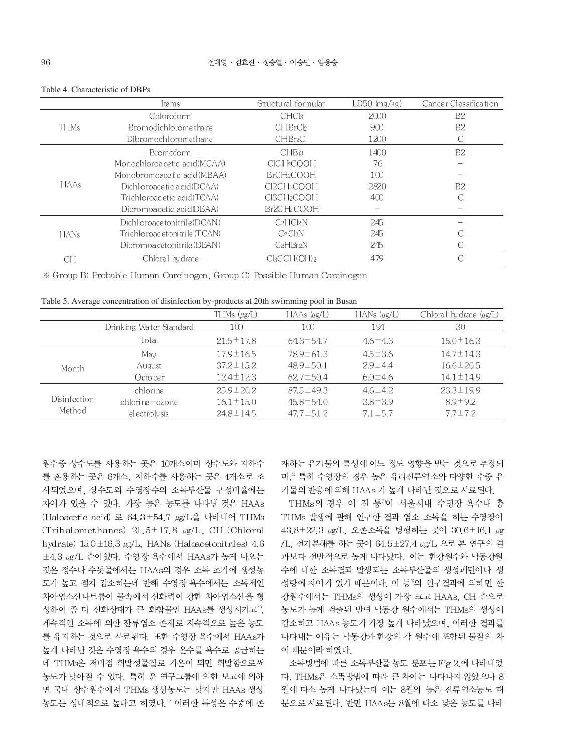|             | Ite ms                           | Structural formular                  | $LD50$ (mg/kg) | Cancer Classification |
|-------------|----------------------------------|--------------------------------------|----------------|-----------------------|
|             | Chloroform                       | CHCl <sub>3</sub>                    | 2000           | B <sub>2</sub>        |
| <b>THMs</b> | Bromodichlorome thane            | CHBrCl <sub>2</sub>                  | 900            | B <sub>2</sub>        |
|             | Dibromochloromethane             | $CHBr_2Cl$                           | 1200           |                       |
|             | Bromoform                        | CHBs                                 | 1400           | B <sub>2</sub>        |
|             | Monochloroacetic acid(MCAA)      | CICH <sub>2</sub> COOH               | 76             |                       |
|             | Monobromoacetic acid(MBAA)       | BrCH <sub>2</sub> COOH               | 100            |                       |
| <b>HAAs</b> | Dichloroace tic acid(DCAA)       | CI2CH <sub>2</sub> COOH              | 2820           | B <sub>2</sub>        |
|             | Tri chloroac etic acid (TCAA)    | CI3CH <sub>2</sub> COOH              | 400            |                       |
|             | Dibromoacetic acid(DBAA)         | Br2CH2COOH                           |                |                       |
|             | Dichloroace tonitrile (DCAN)     | $C_2HCl_2N$                          | 245            |                       |
| <b>HANs</b> | Tri chloroac etoni tri le (TCAN) | $C_2C_3N$                            | 245            |                       |
|             | Dibromoa cetonitrile (DBAN)      | $C_2HBr_2N$                          | 245            |                       |
| СH          | Chloral hydrate                  | Cl <sub>3</sub> CCH(OH) <sub>2</sub> | 479            |                       |

#### Table 4. Characteristic of DBPs

« Group B: Probable Human Carcinogen, Group C: Possible Human Carcinogen

Table 5. Average concentration of disinfection by-products at 20th swimming pool in Busan

|              |                         | THMs $(\mu g/L)$ | HAAs $(\mu g/L)$ | HANs $(\mu g/L)$ | Chloral by drate $\langle \mu g/L \rangle$ |
|--------------|-------------------------|------------------|------------------|------------------|--------------------------------------------|
|              | Drinking Water Standard | 100              | 100              | 194              | 30                                         |
|              | Total                   | $21.5 \pm 17.8$  | $64.3 \pm 54.7$  | $4.6 \pm 4.3$    | $15.0 \pm 16.3$                            |
|              | May                     | $17.9 \pm 16.5$  | 78.9±61.3        | $4.5 \pm 3.6$    | $14.7 \pm 14.3$                            |
| Month        | August                  | $37.2 \pm 15.2$  | 48.9±50.1        | $2.9 \pm 4.4$    | $166 \pm 20.5$                             |
|              | October                 | $12.4 \pm 12.3$  | $62.7 \pm 50.4$  | $6.0 \pm 4.6$    | $14.1 \pm 14.9$                            |
|              | chlori ne               | $25.9 \pm 20.2$  | $87.5 \pm 49.3$  | $4.6 \pm 4.2$    | $23.3 \pm 19.9$                            |
| Disinfection | chlorine -ozone         | $16.1 \pm 15.0$  | $45.8 \pm 54.0$  | $3.8 \pm 3.9$    | $8.9 \pm 9.2$                              |
| Method       | electrolysis            | $24.8 \pm 14.5$  | $47.7 \pm 51.2$  | $7.1 \pm 5.7$    | $7.7 \pm 7.2$                              |
|              |                         |                  |                  |                  |                                            |

원수중 상수도를 사용하는 곳은 10개소이며 상수도와 지하수 를 혼용하는 곳은 6개소, 지하수를 사용하는 곳은 4개소로 조 사되었으며, 상수도와 수영장수의 소독부산물 구성비율에는 차이가 있을 수 있다. 가장 높은 농도를 나타낸 것은 HAAs (Haloacetic acid) 로 64.3±54.7 g/L을 나타내어 THMs (Trihalomethanes)  $21.5 \pm 17.8$   $\mu$ g/L, CH (Chloral hydrate)  $15.0 \pm 16.3 \mu g/L$ . HANs (Halcacetonitriles) 4.6 ±4.3 µg/L 순이었다. 수영장 욕수에서 HAAs가 높게 나오는 것은 정수나 수돗물에서는 HAAs의 경우 소독 초기에 생성농 도가 높고 점차 감소하는데 반해 수영장 욕수에서는 소독제인 차아염소산나트륨이 물속에서 산화력이 강한 차아염소산을 형 성하여 좀 더 산화상태가 큰 화합물인 HAAs를 생성시키고<sup>4)</sup>, 계속적인 소독에 의한 잔류염소 존재로 지속적으로 높은 농도 를 유지하는 것으로 사료된다. 또한 수영장 욕수에서 HAAs가 높게 나타난 것은 수영장 욕수의 경우 온수를 욕수로 공급하는 데 THMs은 저비점 휘발성물질로 가온이 되면 휘발함으로써 농도가 낮아질 수 있다. 특히 윤 연구그룹에 의한 보고에 의하 면 국내 상수원수에서 THMs 생성농도는 낮지만 HAAs 생성 농도는 상대적으로 높다고 하였다.<sup>4)</sup> 이러한 특성은 수중에 존

재하는 유기물의 특성에 어느 정도 영향을 받는 것으로 추정되 며. " 특히 수영장의 경우 높은 유리잔류염소와 다양한 수중 유 기물의 반응에 의해 HAAs 가 높게 나타난 것으로 사료된다.

THMs의 경우 이 진 등®이 서울시내 수영장 욕수내 총 THMs 발생에 관해 연구한 결과 염소 소독을 하는 수영장이 43.8±22.3 µg/L, 오존소독을 병행하는 곳이 30.6±16.1 µg /L, 전기분해를 하는 곳이 64.5±27.4 µg/L 으로 본 연구의 결 과보다 전반적으로 높게 나타났다. 이는 한강원수와 낙동강원 수에 대한 소독결과 발생되는 소독부산물의 생성패턴이나 생 성량에 차이가 있기 때문이다. 이 등 의 연구결과에 의하면 한 강원수에서는 THMs의 생성이 가장 크고 HAAs, CH 순으로 농도가 높게 검출된 반면 낙동강 원수에서는 THMs의 생성이 감소하고 HAAs 농도가 가장 높게 나타났으며, 이러한 결과를 나타내는 이유는 낙동강과 한강의 각 원수에 포함된 물질의 차 이 때문이라 하였다.

소독방법에 따른 소독부산물 농도 분포는 Fig 2.에 나타내었 다. THMs은 소똑방법에 따라 큰 차이는 나타나지 않았으나 8 월에 다소 높게 나타났는데 이는 8월의 높은 잔류염소농도 때 문으로 사료된다. 반면 HAAs는 8월에 다소 낮은 농도를 나타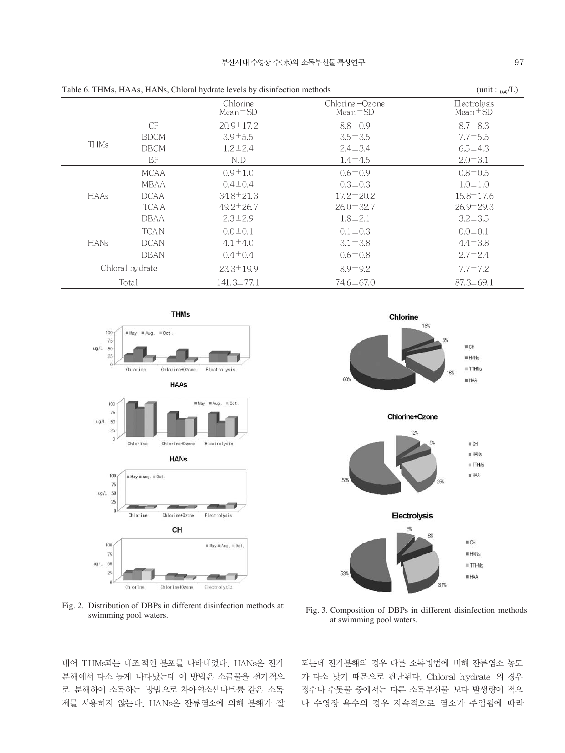|             | Table 6. THMs, HAAs, HANs, Chloral hydrate levels by disinfection methods |                           |                                 |                                      |  |  |  |
|-------------|---------------------------------------------------------------------------|---------------------------|---------------------------------|--------------------------------------|--|--|--|
|             |                                                                           | Chlorine<br>Mean $\pm$ SD | Chlorine-Ozone<br>Mean $\pm$ SD | <b>Electrolysis</b><br>Mean $\pm$ SD |  |  |  |
|             | CF                                                                        | $20.9 \pm 17.2$           | $8.8 \pm 0.9$                   | $8.7 \pm 8.3$                        |  |  |  |
|             | <b>BDCM</b>                                                               | $3.9 \pm 5.5$             | $3.5 \pm 3.5$                   | $7.7 \pm 5.5$                        |  |  |  |
| <b>THMs</b> | <b>DBCM</b>                                                               | $1.2 \pm 2.4$             | $2.4 \pm 3.4$                   | $6.5 \pm 4.3$                        |  |  |  |
|             | BF                                                                        | N.D                       | $1.4 \pm 4.5$                   | $2.0 \pm 3.1$                        |  |  |  |
|             | <b>MCAA</b>                                                               | $0.9 \pm 1.0$             | $0.6 \pm 0.9$                   | $0.8 \pm 0.5$                        |  |  |  |
|             | <b>MBAA</b>                                                               | $0.4 \pm 0.4$             | $0.3 \pm 0.3$                   | $1.0 \pm 1.0$                        |  |  |  |
| <b>HAAs</b> | <b>DCAA</b>                                                               | $34.8 \pm 21.3$           | $17.2 \pm 20.2$                 | $15.8 \pm 17.6$                      |  |  |  |
|             | <b>TCAA</b>                                                               | $49.2 \pm 26.7$           | $26.0 \pm 32.7$                 | $26.9 \pm 29.3$                      |  |  |  |
|             | <b>DBAA</b>                                                               | $2.3 \pm 2.9$             | $1.8 \pm 2.1$                   | $3.2 \pm 3.5$                        |  |  |  |
|             | <b>TCAN</b>                                                               | $0.0 \pm 0.1$             | $0.1 \pm 0.3$                   | $0.0 \pm 0.1$                        |  |  |  |
| <b>HANs</b> | <b>DCAN</b>                                                               | $4.1 \pm 4.0$             | $3.1 \pm 3.8$                   | $4.4 \pm 3.8$                        |  |  |  |
|             | DBAN                                                                      | $0.4 \pm 0.4$             | $0.6 \pm 0.8$                   | $2.7 \pm 2.4$                        |  |  |  |
|             | Chloral hy drate                                                          | $23.3 \pm 19.9$           | $8.9 \pm 9.2$                   | $7.7 \pm 7.2$                        |  |  |  |
|             | Total                                                                     |                           | 74.6 ± 67.0                     | $87.3 \pm 69.1$                      |  |  |  |
|             |                                                                           |                           |                                 |                                      |  |  |  |





내어 THMs과는 대조적인 분포를 나타내었다. HANs은 전기 분해에서 다소 높게 나타났는데 이 방법은 소금물을 전기적으 로 분해하여 소독하는 방법으로 차아염소산나트륨 같은 소독 제를 사용하지 않는다. HANs은 잔류염소에 의해 분해가 잘



Fig. 3. Composition of DBPs in different disinfection methods at swimming pool waters.

되는데 전기분해의 경우 다른 소독방법에 비해 잔류염소 농도 가 다소 낮기 때문으로 판단된다. Chloral hydrate 의 경우 정수나 수돗물 중에서는 다른 소독부산물 보다 발생량이 적으 나 수영장 욕수의 경우 지속적으로 염소가 주입됨에 따라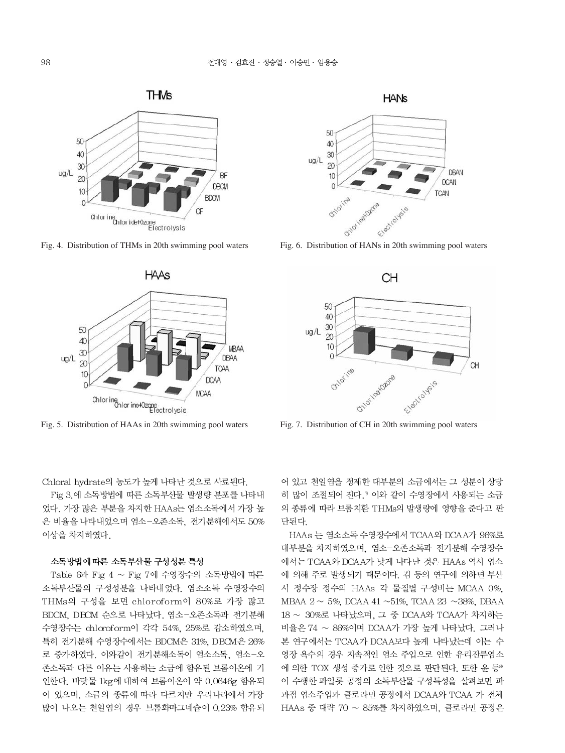

Fig. 4. Distribution of THMs in 20th swimming pool waters



Fig. 5. Distribution of HAAs in 20th swimming pool waters

Chloral hydrate의 농도가 높게 나타난 것으로 사료된다.

Fig 3.에 소독방법에 따른 소독부산물 발생량 분포를 나타내 었다. 가장 많은 부분을 차지한 HAAs는 염소소독에서 가장 높 은 비율을 나타내었으며 염소-오존소독, 전기분해에서도 50% 이상을 차지하였다.

# 소독방법에 따른 소독부산물 구성성분 특성

Table 6과 Fig 4 ~ Fig 7에 수영장수의 소독방법에 따른 소독부산물의 구성성분을 나타내었다. 염소소독 수영장수의 THMs의 구성을 보면 chloroform이 80%로 가장 많고 BDCM, DBCM 순으로 나타났다. 염소-오존소독과 전기분해 수영장수는 chloroform이 각각 54%, 25%로 감소하였으며, 특히 전기분해 수영장수에서는 BDCM은 31%, DBCM은 26% 로 증가하였다. 이와같이 전기분해소독이 염소소독, 염소-오 존소독과 다른 이유는 사용하는 소금에 함유된 브롬이온에 기 인한다. 바닷물 1kg에 대하여 브롬이온이 약 0.0646g 함유되 어 있으며, 소금의 종류에 따라 다르지만 우리나라에서 가장 많이 나오는 천일염의 경우 브롬화마그네슘이 0.23% 함유되



Fig. 6. Distribution of HANs in 20th swimming pool waters



Fig. 7. Distribution of CH in 20th swimming pool waters

어 있고 천일염을 정제한 대부분의 소금에서는 그 성분이 상당 히 많이 조절되어 진다. 이와 같이 수영장에서 사용되는 소금 의 종류에 따라 브롬치환 THMs의 발생량에 영향을 준다고 판 다되다

HAAs 는 염소소독 수영장수에서 TCAA와 DCAA가 96%로 대부분을 차지하였으며, 염소-오존소독과 전기분해 수영장수 에서는 TCAA와 DCAA가 낮게 나타난 것은 HAAs 역시 염소 에 의해 주로 발생되기 때문이다. 김 등의 연구에 의하면 부산 시 정수장 정수의 HAAs 각 물질별 구성비는 MCAA 0%, MBAA  $2 \sim 5\%$ . DCAA 41 ~51%, TCAA 23 ~38%, DBAA 18 ~ 30%로 나타났으며, 그 중 DCAA와 TCAA가 차지하는 비율은 74 ~ 86%이며 DCAA가 가장 높게 나타났다. 그러나 본 연구에서는 TCAA가 DCAA보다 높게 나타났는데 이는 수 영장 욕수의 경우 지속적인 염소 주입으로 인한 유리잔류염소 에 의한 TOX 생성 증가로 인한 것으로 판단된다. 또한 윤 등® 이 수행한 파일롯 공정의 소독부산물 구성특성을 살펴보면 파 과점 염소주입과 클로라민 공정에서 DCAA와 TCAA 가 전체 HAAs 중 대략 70 ~ 85%를 차지하였으며, 클로라민 공정은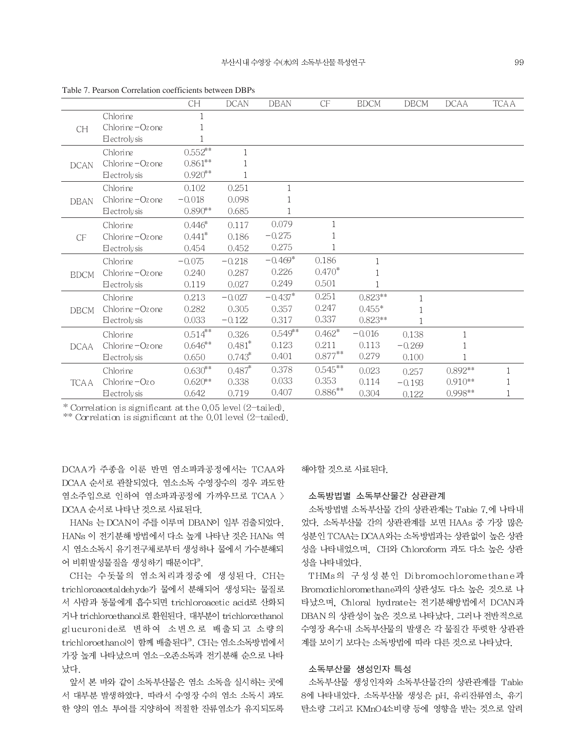|             |                  | $\mathbb{C}\mathbb{H}$ | <b>DCAN</b>  | <b>DBAN</b> | CF         | <b>BDCM</b> | DBCM     | <b>DCAA</b>  | <b>TCAA</b> |
|-------------|------------------|------------------------|--------------|-------------|------------|-------------|----------|--------------|-------------|
|             | Chlorine         |                        |              |             |            |             |          |              |             |
| <b>CH</b>   | Chlorine-Ozone   |                        |              |             |            |             |          |              |             |
|             | Electrolysis     |                        |              |             |            |             |          |              |             |
|             | Chlorine         | $0.552**$              | $\mathbf{1}$ |             |            |             |          |              |             |
| <b>DCAN</b> | Chlorine-Ozone   | $0.861**$              |              |             |            |             |          |              |             |
|             | Electrolysis     | $0.920**$              | 1            |             |            |             |          |              |             |
|             | Chlorine         | 0.102                  | 0.251        |             |            |             |          |              |             |
| <b>DBAN</b> | Chlorine - Ozone | $-0.018$               | 0.098        |             |            |             |          |              |             |
|             | Electrolysis     | $0.890**$              | 0.685        |             |            |             |          |              |             |
|             | Chlorine         | $0.446*$               | 0.117        | 0.079       | 1          |             |          |              |             |
| CF          | Chlorine - Ozone | $0.441*$               | 0.186        | $-0.275$    |            |             |          |              |             |
|             | Electrolysis     | 0.454                  | 0.452        | 0.275       | 1          |             |          |              |             |
|             | Chlorine         | $-0.075$               | $-0.218$     | $-0.469*$   | 0.186      | 1           |          |              |             |
| <b>BDCM</b> | Chlorine - Ozone | 0.240                  | 0.287        | 0.226       | $0.470*$   |             |          |              |             |
|             | Electrolysis     | 0.119                  | 0.027        | 0.249       | 0.501      |             |          |              |             |
|             | Chlorine         | 0.213                  | $-0.027$     | $-0.437*$   | 0.251      | $0.823**$   |          |              |             |
| <b>DBCM</b> | Chlorine - Ozone | 0.282                  | 0.305        | 0.357       | 0.247      | $0.455*$    |          |              |             |
|             | Electrolysis     | 0.033                  | $-0.122$     | 0.317       | 0.337      | $0.823**$   |          |              |             |
|             | Chlorine         | $0.514***$             | 0.326        | $0.549**$   | $0.462*$   | $-0.016$    | 0.138    | $\mathbf{1}$ |             |
| <b>DCAA</b> | Chlorine-Ozone   | $0.646**$              | $0.481*$     | 0.123       | 0.211      | 0.113       | $-0.269$ |              |             |
|             | Electrolysis     | 0.650                  | $0.743*$     | 0.401       | $0.877***$ | 0.279       | 0.100    | 1            |             |
|             | Chlorine         | $0.630**$              | $0.487*$     | 0.378       | $0.545**$  | 0.023       | 0.257    | $0.892**$    | 1           |
| <b>TCAA</b> | Chlorine-Ozo     | $0.620**$              | 0.338        | 0.033       | 0.353      | 0.114       | $-0.193$ | $0.910**$    |             |
|             | Electrolysis     | 0.642                  | 0.719        | 0.407       | $0.886**$  | 0.304       | 0.122    | 0.998**      |             |

Table 7. Pearson Correlation coefficients between DBPs

\* Correlation is significant at the 0.05 level (2-tailed).

\*\* Correlation is significant at the 0.01 level (2-tailed).

DCAA가 주종을 이룬 반면 염소파과공정에서는 TCAA와 DCAA 순서로 관찰되었다. 염소소독 수영장수의 경우 과도한 염소주입으로 인하여 염소파과공정에 가까우므로 TCAA > DCAA 순서로 나타난 것으로 사료된다.

HANs 는 DCAN이 주를 이루며 DBAN이 일부 검출되었다. HANs 이 전기분해 방법에서 다소 높게 나타난 것은 HANs 역 시 염소소독시 유기전구체로부터 생성하나 물에서 가수분해되 어 비휘발성물질을 생성하기 때문이다<sup>9</sup>.

CH는 수돗물의 염소처리과정중에 생성된다. CH는 trichloroacetaldehyde가 물에서 분해되어 생성되는 물질로 서 사람과 동물에게 흡수되면 trichloroacetic acid로 산화되 거나 trichlorœthanol로 환원된다. 대부분이 trichlorœthanol glucuronide로 변하여 소변으로 배출되고 소량의 trichloroethanol이 함께 배출된다<sup>9</sup>. CH는 염소소독방법에서 가장 높게 나타났으며 염소-오존소독과 전기분해 순으로 나타 났다.

앞서 본 바와 같이 소독부산물은 염소 소독을 실시하는 곳에 서 대부분 발생하였다. 따라서 수영장 수의 염소 소독시 과도 한 양의 염소 투여를 지양하여 적절한 잔류염소가 유지되도록 해야할 것으로 사료된다.

#### 소독방법별 소독부산물간 상관관계

소독방법별 소독부산물 간의 상관관계는 Table 7.에 나타내 었다. 소독부산물 간의 상관관계를 보면 HAAs 중 가장 많은 성분인 TCAA는 DCAA와는 소독방법과는 상관없이 높은 상관 성을 나타내었으며, CH와 Chloroform 과도 다소 높은 상관 성을 나타내었다.

THMs의 구성성분인 Dibromochloromethane과 Bromodichloromethane과의 상관성도 다소 높은 것으로 나 타났으며, Chloral hydrate는 전기분해방법에서 DCAN과 DBAN 의 상관성이 높은 것으로 나타났다. 그러나 전반적으로 수영장 욕수내 소독부산물의 발생은 각 물질간 뚜렷한 상관관 계를 보이기 보다는 소독방법에 따라 다른 것으로 나타났다.

# 소독부산물 생성인자 특성

소독부산물 생성인자와 소독부산물간의 상관관계를 Table 8에 나타내었다. 소독부산물 생성은 pH, 유리잔류염소, 유기 탄소량 그리고 KMnO4소비량 등에 영향을 받는 것으로 알려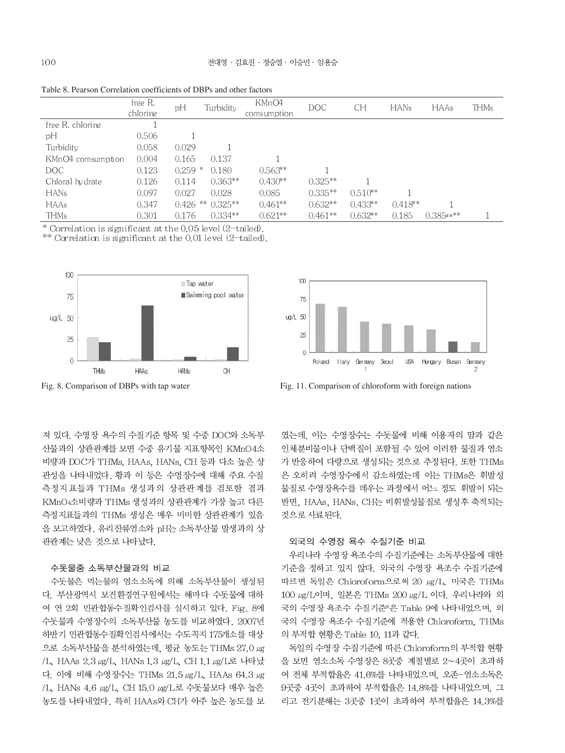|                   | free R.<br>chlorine | рH       | Turbidity             | KMnO4<br>comsumption | <b>DOC</b> | <b>CH</b> | <b>HANs</b> | <b>HAAs</b> | <b>THMs</b> |
|-------------------|---------------------|----------|-----------------------|----------------------|------------|-----------|-------------|-------------|-------------|
| free R. chlorine  |                     |          |                       |                      |            |           |             |             |             |
| рH                | 0.506               |          |                       |                      |            |           |             |             |             |
| Turbidity         | 0.058               | 0.029    |                       |                      |            |           |             |             |             |
| KMnO4 comsumption | 0.004               | 0.165    | 0.137                 |                      |            |           |             |             |             |
| DOC.              | 0.123               | $0.259*$ | 0.180                 | $0.563**$            |            |           |             |             |             |
| Chloral hy drate  | 0.126               | 0.114    | $0.363**$             | $0.430**$            | $0.325**$  |           |             |             |             |
| <b>HANs</b>       | 0.097               | 0.027    | 0.028                 | 0.085                | $0.335**$  | $0.510**$ |             |             |             |
| HAAs              | 0.347               |          | $0.426$ ** $0.325$ ** | $0.461**$            | $0.632**$  | $0.433**$ | $0.418**$   |             |             |
| <b>THMs</b>       | 0.301               | 0.176    | $0.334**$             | $0.621**$            | $0.461**$  | $0.632**$ | 0.185       | $0.385***$  |             |

Table 8. Pearson Correlation coefficients of DBPs and other factors

\* Correlation is significant at the 0.05 level (2-tailed).

\*\* Correlation is significant at the 0.01 level (2-tailed).





Fig. 11. Comparison of chloroform with foreign nations

져 있다. 수영장 욕수의 수질기준 항목 및 수중 DOC와 소독부 산물과의 상관관계를 보면 수중 유기물 지표항목인 KMnO4소 비량과 DOC가 THMs, HAAs, HANs, CH 등과 다소 높은 상 관성을 나타내었다. 황과 이 등은 수영장수에 대해 주요 수질 측정지표들과 THMs 생성과의 상관관계를 검토한 결과 KMnO4소비량과 THMs 생성과의 상관관계가 가장 높고 다른 측정지표들과의 THMs 생성은 매우 미미한 상관관계가 있음 을 보고하였다. 유리잔류염소와 pH는 소독부산물 발생과의 상 관관계는 낮은 것으로 나타났다.

#### 수돗물중 소독부산물과의 비교

수돗물은 먹는물의 염소소독에 의해 소독부산물이 생성된 다. 부산광역시 보건환경연구원에서는 해마다 수돗물에 대하 여 연 2회 민관합동수질확인검사를 실시하고 있다. Fig. 8에 수돗물과 수영장수의 소독부산물 농도를 비교하였다. 2007년 하반기 민관합동수질확인검사에서는 수도꼭지 175개소를 대상 으로 소독부산물을 분석하였는데, 평균 농도는 THMs 27.0 ug /L, HAAs 2.3 μg/L, HANs 1.3 μg/L, CH 1.1 μg/L로 나타났 다. 이에 비해 수영장수는 THMs 21.5 µg/L, HAAs 64.3 µg /L, HANs 4.6 μg/L, CH 15.0 μg/L로 수돗물보다 매우 높은 농도를 나타내었다. 특히 HAAs와 CH가 아주 높은 농도를 보

였는데, 이는 수영장수는 수돗물에 비해 이용자의 땀과 같은 인체분비물이나 단백질이 포함될 수 있어 이러한 물질과 염소 가 반응하여 다량으로 생성되는 것으로 추정된다. 또한 THMs 은 오히려 수영장수에서 감소하였는데 이는 THMs은 휘발성 물질로 수영장욕수를 데우는 과정에서 어느 정도 휘발이 되는 반면, HAAs, HANs, CH는 비휘발성물질로 생성후 축적되는 것으로 사료된다.

#### 외국의 수영장 욕수 수질기준 비교

우리나라 수영장 욕조수의 수질기준에는 소독부산물에 대한 기준을 정하고 있지 않다. 외국의 수영장 욕조수 수질기준에 따르면 독일은 Chloroform으로써 20 µg/L, 미국은 THMs 100 μg/L이며, 일본은 THMs 200 μg/L 이다. 우리나라와 외 국의 수영장 욕조수 수질기준®은 Table 9에 나타내었으며, 외 국의 수영장 욕조수 수질기준에 적용한 Chloroform, THMs 의 부적합 현황은 Table 10, 11과 같다.

독일의 수영장 수질기준에 따른 Chloroform의 부적합 현황 을 보면 염소소독 수영장은 8곳중 계절별로 2~4곳이 초과하 여 전체 부적합율은 41.6%를 나타내었으며, 오존-염소소독은 9곳중 4곳이 초과하여 부적합율은 14.8%를 나타내었으며. 그 리고 전기분해는 3곳중 1곳이 초과하여 부적합율은 14.3%를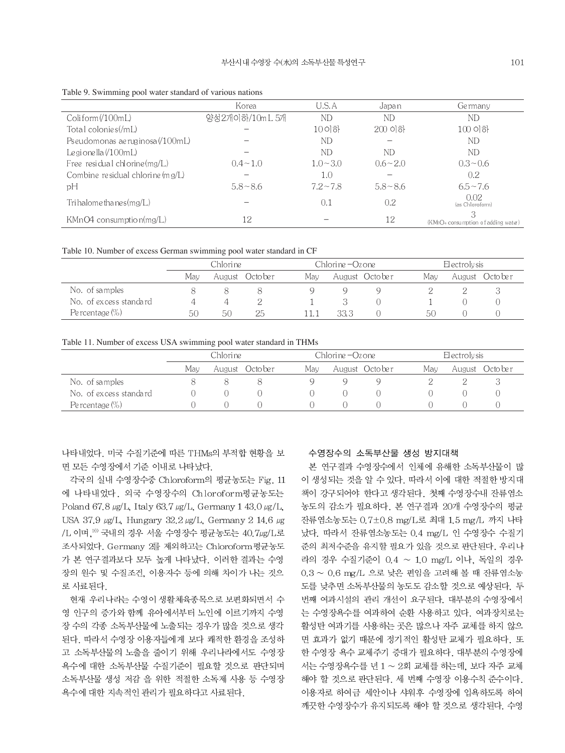|                                   | Korea          | U.S.A       | Japan       | Germany                                             |
|-----------------------------------|----------------|-------------|-------------|-----------------------------------------------------|
| Coliform(100mL)                   | 양성2개이하/10mL 5개 | ND          | ND          | ND                                                  |
| Total colonies(/mL)               |                | 10 이하       | 200 이하      | 100 이하                                              |
| Pseudomonas ae ruginosa (/100mL)  |                | ND          |             | ND                                                  |
| Le gi one lla $(100mL)$           |                | ND          | ND          | ND                                                  |
| Free residual chlorine(mg/L)      | $0.4 - 1.0$    | $1.0 - 3.0$ | $0.6 - 2.0$ | $0.3 - 0.6$                                         |
| Combine residual chlorine (m g/L) |                | 1.0         |             | 0.2                                                 |
| pH                                | $5.8 - 8.6$    | $7.2 - 7.8$ | $5.8 - 8.6$ | $6.5 \sim 7.6$                                      |
| $Tri$ halome thanes $(mg/L)$      |                | 0.1         | 0.2         | 0.02<br>(as Chloroform)                             |
| $KMnO4$ consumptio $n(mg/L)$      | 12             |             | 12          | 3<br>(KM <sub>D4</sub> consumption of adding water) |

Table 9. Swimming pool water standard of various nations

Table 10. Number of excess German swimming pool water standard in CF

|                        | Chlorine |    |                |     | Chlorine – Ozone |                |     | Electrolysis |                |  |
|------------------------|----------|----|----------------|-----|------------------|----------------|-----|--------------|----------------|--|
|                        | Mav      |    | August October | Mav |                  | August October | May |              | August October |  |
| No. of samples         |          |    |                |     |                  |                |     |              |                |  |
| No. of excess standard |          |    |                |     |                  |                |     |              |                |  |
| Percentage $(\%)$      | 50       | 50 | 25             |     | 33.3             |                | 50  |              |                |  |

Table 11. Number of excess USA swimming pool water standard in THMs

|                        | Chlori ne |  |                |     | Chlorine –Ozone |                |     | Electroly sis |           |  |
|------------------------|-----------|--|----------------|-----|-----------------|----------------|-----|---------------|-----------|--|
|                        | Mav       |  | August October | Mav |                 | August October | May | August        | Octo be r |  |
| No. of samples         |           |  |                |     |                 |                |     |               |           |  |
| No. of excess standard |           |  |                |     |                 |                |     |               |           |  |
| Pe rcentage $(\%)$     |           |  |                |     |                 |                |     |               |           |  |

나타내었다. 미국 수질기준에 따른 THMs의 부적합 현황을 보 면 모든 수영장에서 기준 이내로 나타났다.

각국의 실내 수영장수중 Chloroform의 평균농도는 Fig. 11 에 나타내었다. 외국 수영장수의 Chloroform평균농도는 Poland 67.8  $\mu$ g/L, Italy 63.7  $\mu$ g/L, Germany 143.0  $\mu$ g/L, USA 37.9 µg/L, Hungary 32.2 µg/L, Germany 2 14.6 µg /L 이며, 10) 국내의 경우 서울 수영장수 평균농도는 40.7µg/L로 조사되었다. Germany 2를 제외하고는 Chloroform 평균농도 가 본 연구결과보다 모두 높게 나타났다. 이러한 결과는 수영 장의 원수 및 수질조건, 이용자수 등에 의해 차이가 나는 것으 로 사료된다.

현재 우리나라는 수영이 생활체육종목으로 보편화되면서 수 영 인구의 증가와 함께 유아에서부터 노인에 이르기까지 수영 장 수의 각종 소독부산물에 노출되는 경우가 많을 것으로 생각 된다. 따라서 수영장 이용자들에게 보다 쾌적한 환경을 조성하 고 소독부산물의 노출을 줄이기 위해 우리나라에서도 수영장 욕수에 대한 소독부산물 수질기준이 필요할 것으로 판단되며 소독부산물 생성 저감 을 위한 적절한 소독제 사용 등 수영장 욕수에 대한 지속적인 관리가 필요하다고 사료된다.

## 수영장수의 소독부산물 생성 방지대책

본 연구결과 수영장수에서 인체에 유해한 소독부산물이 많 이 생성되는 것을 알 수 있다. 따라서 이에 대한 적절한 방지대 책이 강구되어야 한다고 생각된다. 첫째 수영장수내 잔류염소 농도의 감소가 필요하다. 본 연구결과 20개 수영장수의 평균 잔류염소농도는 0.7±0.8 mg/L로 최대 1.5 mg/L 까지 나타 났다. 따라서 잔류염소농도는 0.4 mg/L 인 수영장수 수질기 준의 최저수준을 유지할 필요가 있을 것으로 판단된다. 우리나 라의 경우 수질기준이 0.4 ~ 1.0 mg/L 이나, 독일의 경우  $0.3 \sim 0.6$  mg/L 으로 낮은 편임을 고려해 볼 때 잔류염소농 도를 낮추면 소독부산물의 농도도 감소할 것으로 예상된다. 두 번째 여과시설의 관리 개선이 요구된다. 대부분의 수영장에서 는 수영장욕수를 여과하여 순환 사용하고 있다. 여과장치로는 활성탄 여과기를 사용하는 곳은 많으나 자주 교체를 하지 않으 면 효과가 없기 때문에 정기적인 활성탄 교체가 필요하다. 또 한 수영장 욕수 교체주기 증대가 필요하다. 대부분의 수영장에 서는 수영장욕수를 년 1 ~ 2회 교체를 하는데, 보다 자주 교체 해야 할 것으로 판단된다. 세 번째 수영장 이용수칙 준수이다. 이용자로 하여금 세안이나 샤워후 수영장에 입욕하도록 하여 깨끗한 수영장수가 유지되도록 해야 할 것으로 생각된다. 수영